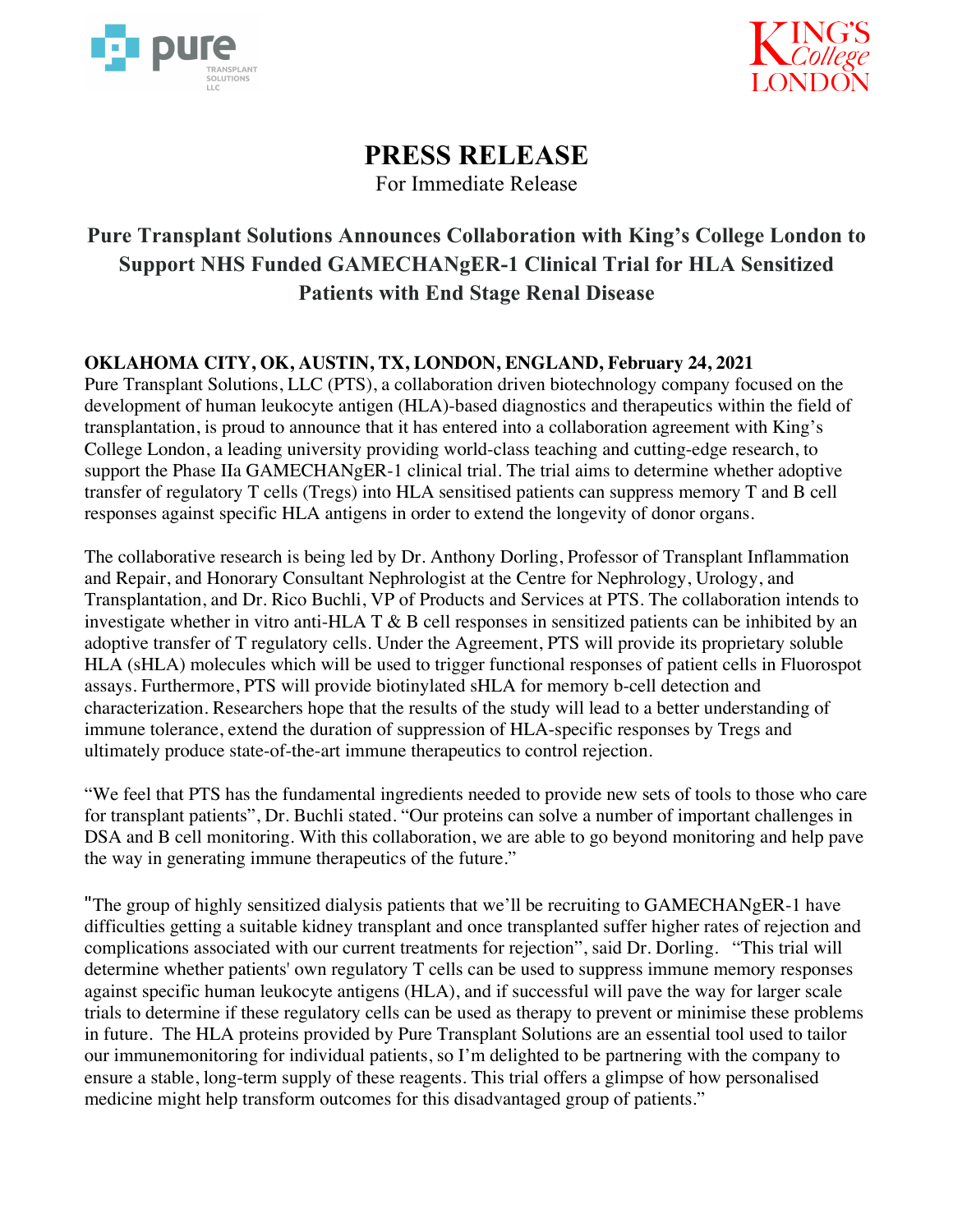



# **PRESS RELEASE**

For Immediate Release

## **Pure Transplant Solutions Announces Collaboration with King's College London to Support NHS Funded GAMECHANgER-1 Clinical Trial for HLA Sensitized Patients with End Stage Renal Disease**

### **OKLAHOMA CITY, OK, AUSTIN, TX, LONDON, ENGLAND, February 24, 2021**

Pure Transplant Solutions, LLC (PTS), a collaboration driven biotechnology company focused on the development of human leukocyte antigen (HLA)-based diagnostics and therapeutics within the field of transplantation, is proud to announce that it has entered into a collaboration agreement with King's College London, a leading university providing world-class teaching and cutting-edge research, to support the Phase IIa GAMECHANgER-1 clinical trial. The trial aims to determine whether adoptive transfer of regulatory T cells (Tregs) into HLA sensitised patients can suppress memory T and B cell responses against specific HLA antigens in order to extend the longevity of donor organs.

The collaborative research is being led by Dr. Anthony Dorling, Professor of Transplant Inflammation and Repair, and Honorary Consultant Nephrologist at the Centre for Nephrology, Urology, and Transplantation, and Dr. Rico Buchli, VP of Products and Services at PTS. The collaboration intends to investigate whether in vitro anti-HLA T & B cell responses in sensitized patients can be inhibited by an adoptive transfer of T regulatory cells. Under the Agreement, PTS will provide its proprietary soluble HLA (sHLA) molecules which will be used to trigger functional responses of patient cells in Fluorospot assays. Furthermore, PTS will provide biotinylated sHLA for memory b-cell detection and characterization. Researchers hope that the results of the study will lead to a better understanding of immune tolerance, extend the duration of suppression of HLA-specific responses by Tregs and ultimately produce state-of-the-art immune therapeutics to control rejection.

"We feel that PTS has the fundamental ingredients needed to provide new sets of tools to those who care for transplant patients", Dr. Buchli stated. "Our proteins can solve a number of important challenges in DSA and B cell monitoring. With this collaboration, we are able to go beyond monitoring and help pave the way in generating immune therapeutics of the future."

"The group of highly sensitized dialysis patients that we'll be recruiting to GAMECHANgER-1 have difficulties getting a suitable kidney transplant and once transplanted suffer higher rates of rejection and complications associated with our current treatments for rejection", said Dr. Dorling. "This trial will determine whether patients' own regulatory T cells can be used to suppress immune memory responses against specific human leukocyte antigens (HLA), and if successful will pave the way for larger scale trials to determine if these regulatory cells can be used as therapy to prevent or minimise these problems in future. The HLA proteins provided by Pure Transplant Solutions are an essential tool used to tailor our immunemonitoring for individual patients, so I'm delighted to be partnering with the company to ensure a stable, long-term supply of these reagents. This trial offers a glimpse of how personalised medicine might help transform outcomes for this disadvantaged group of patients."